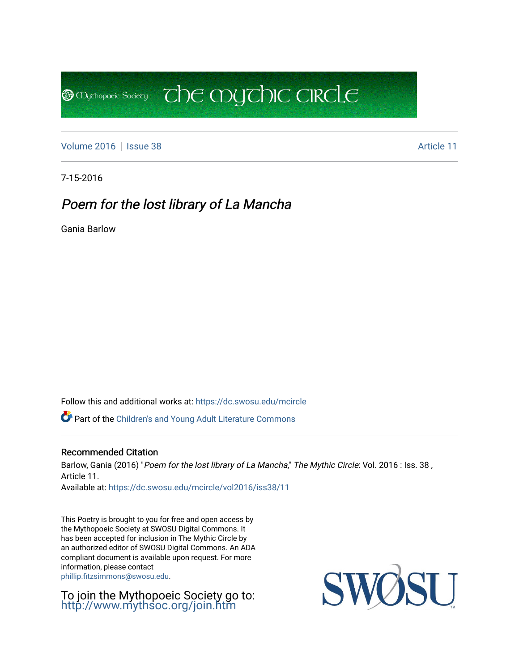[Volume 2016](https://dc.swosu.edu/mcircle/vol2016) | [Issue 38](https://dc.swosu.edu/mcircle/vol2016/iss38) Article 11

**B** Mychopoeic Sociecy

7-15-2016

# Poem for the lost library of La Mancha

Gania Barlow

Follow this and additional works at: [https://dc.swosu.edu/mcircle](https://dc.swosu.edu/mcircle?utm_source=dc.swosu.edu%2Fmcircle%2Fvol2016%2Fiss38%2F11&utm_medium=PDF&utm_campaign=PDFCoverPages) 

Part of the [Children's and Young Adult Literature Commons](http://network.bepress.com/hgg/discipline/1289?utm_source=dc.swosu.edu%2Fmcircle%2Fvol2016%2Fiss38%2F11&utm_medium=PDF&utm_campaign=PDFCoverPages) 

#### Recommended Citation

Barlow, Gania (2016) "Poem for the lost library of La Mancha," The Mythic Circle: Vol. 2016 : Iss. 38, Article 11.

 $\overline{c}$  the mychic circle

Available at: [https://dc.swosu.edu/mcircle/vol2016/iss38/11](https://dc.swosu.edu/mcircle/vol2016/iss38/11?utm_source=dc.swosu.edu%2Fmcircle%2Fvol2016%2Fiss38%2F11&utm_medium=PDF&utm_campaign=PDFCoverPages) 

This Poetry is brought to you for free and open access by the Mythopoeic Society at SWOSU Digital Commons. It has been accepted for inclusion in The Mythic Circle by an authorized editor of SWOSU Digital Commons. An ADA compliant document is available upon request. For more information, please contact [phillip.fitzsimmons@swosu.edu](mailto:phillip.fitzsimmons@swosu.edu).

To join the Mythopoeic Society go to: <http://www.mythsoc.org/join.htm>

SWO **ST T**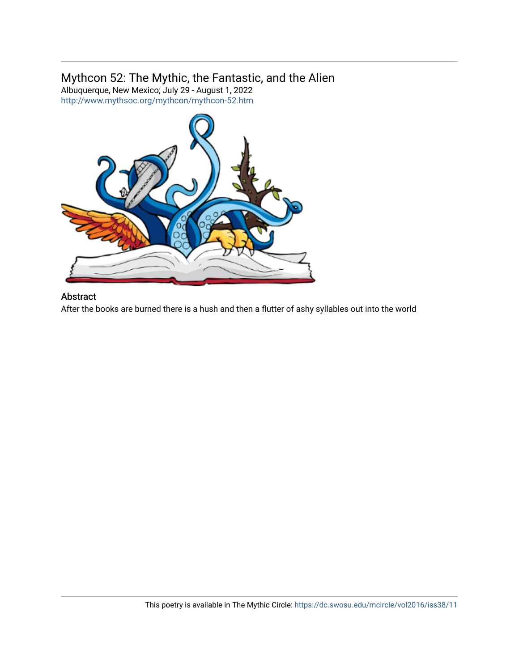### Mythcon 52: The Mythic, the Fantastic, and the Alien

Albuquerque, New Mexico; July 29 - August 1, 2022 <http://www.mythsoc.org/mythcon/mythcon-52.htm>



#### Abstract

After the books are burned there is a hush and then a flutter of ashy syllables out into the world